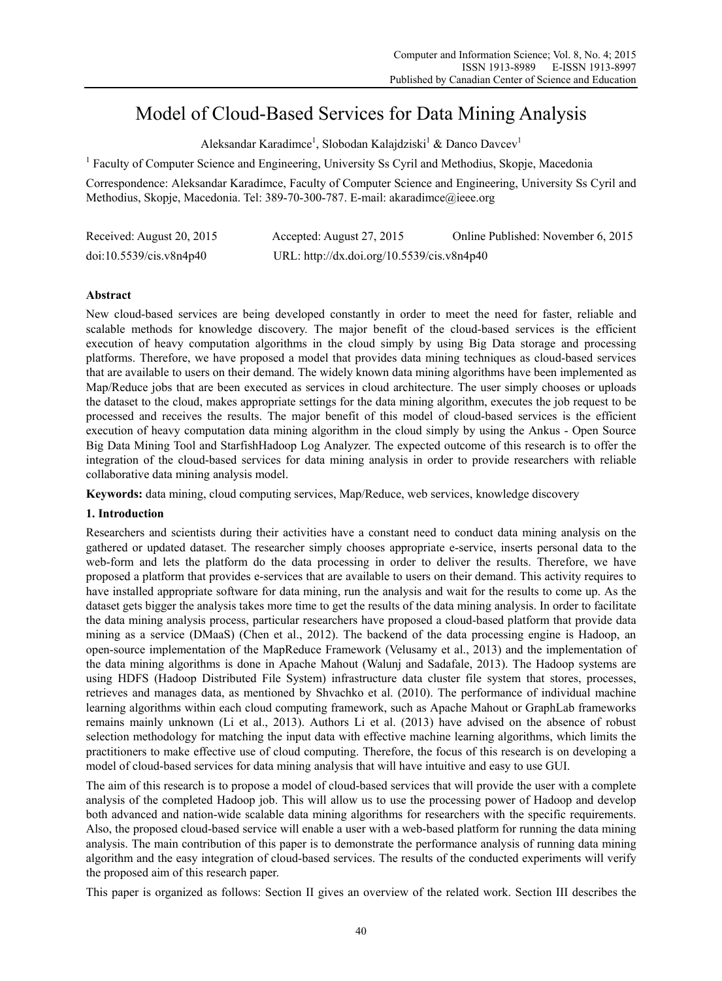# Model of Cloud-Based Services for Data Mining Analysis

Aleksandar Karadimce<sup>1</sup>, Slobodan Kalajdziski<sup>1</sup> & Danco Davcev<sup>1</sup>

<sup>1</sup> Faculty of Computer Science and Engineering, University Ss Cyril and Methodius, Skopje, Macedonia

Correspondence: Aleksandar Karadimce, Faculty of Computer Science and Engineering, University Ss Cyril and Methodius, Skopje, Macedonia. Tel: 389-70-300-787. E-mail: akaradimce@ieee.org

| Received: August 20, 2015 | Accepted: August 27, 2015                  | Online Published: November 6, 2015 |
|---------------------------|--------------------------------------------|------------------------------------|
| doi:10.5539/cis.v8n4p40   | URL: http://dx.doi.org/10.5539/cis.v8n4p40 |                                    |

# **Abstract**

New cloud-based services are being developed constantly in order to meet the need for faster, reliable and scalable methods for knowledge discovery. The major benefit of the cloud-based services is the efficient execution of heavy computation algorithms in the cloud simply by using Big Data storage and processing platforms. Therefore, we have proposed a model that provides data mining techniques as cloud-based services that are available to users on their demand. The widely known data mining algorithms have been implemented as Map/Reduce jobs that are been executed as services in cloud architecture. The user simply chooses or uploads the dataset to the cloud, makes appropriate settings for the data mining algorithm, executes the job request to be processed and receives the results. The major benefit of this model of cloud-based services is the efficient execution of heavy computation data mining algorithm in the cloud simply by using the Ankus - Open Source Big Data Mining Tool and StarfishHadoop Log Analyzer. The expected outcome of this research is to offer the integration of the cloud-based services for data mining analysis in order to provide researchers with reliable collaborative data mining analysis model.

**Keywords:** data mining, cloud computing services, Map/Reduce, web services, knowledge discovery

## **1. Introduction**

Researchers and scientists during their activities have a constant need to conduct data mining analysis on the gathered or updated dataset. The researcher simply chooses appropriate e-service, inserts personal data to the web-form and lets the platform do the data processing in order to deliver the results. Therefore, we have proposed a platform that provides e-services that are available to users on their demand. This activity requires to have installed appropriate software for data mining, run the analysis and wait for the results to come up. As the dataset gets bigger the analysis takes more time to get the results of the data mining analysis. In order to facilitate the data mining analysis process, particular researchers have proposed a cloud-based platform that provide data mining as a service (DMaaS) (Chen et al., 2012). The backend of the data processing engine is Hadoop, an open-source implementation of the MapReduce Framework (Velusamy et al., 2013) and the implementation of the data mining algorithms is done in Apache Mahout (Walunj and Sadafale, 2013). The Hadoop systems are using HDFS (Hadoop Distributed File System) infrastructure data cluster file system that stores, processes, retrieves and manages data, as mentioned by Shvachko et al. (2010). The performance of individual machine learning algorithms within each cloud computing framework, such as Apache Mahout or GraphLab frameworks remains mainly unknown (Li et al., 2013). Authors Li et al. (2013) have advised on the absence of robust selection methodology for matching the input data with effective machine learning algorithms, which limits the practitioners to make effective use of cloud computing. Therefore, the focus of this research is on developing a model of cloud-based services for data mining analysis that will have intuitive and easy to use GUI.

The aim of this research is to propose a model of cloud-based services that will provide the user with a complete analysis of the completed Hadoop job. This will allow us to use the processing power of Hadoop and develop both advanced and nation-wide scalable data mining algorithms for researchers with the specific requirements. Also, the proposed cloud-based service will enable a user with a web-based platform for running the data mining analysis. The main contribution of this paper is to demonstrate the performance analysis of running data mining algorithm and the easy integration of cloud-based services. The results of the conducted experiments will verify the proposed aim of this research paper.

This paper is organized as follows: Section II gives an overview of the related work. Section III describes the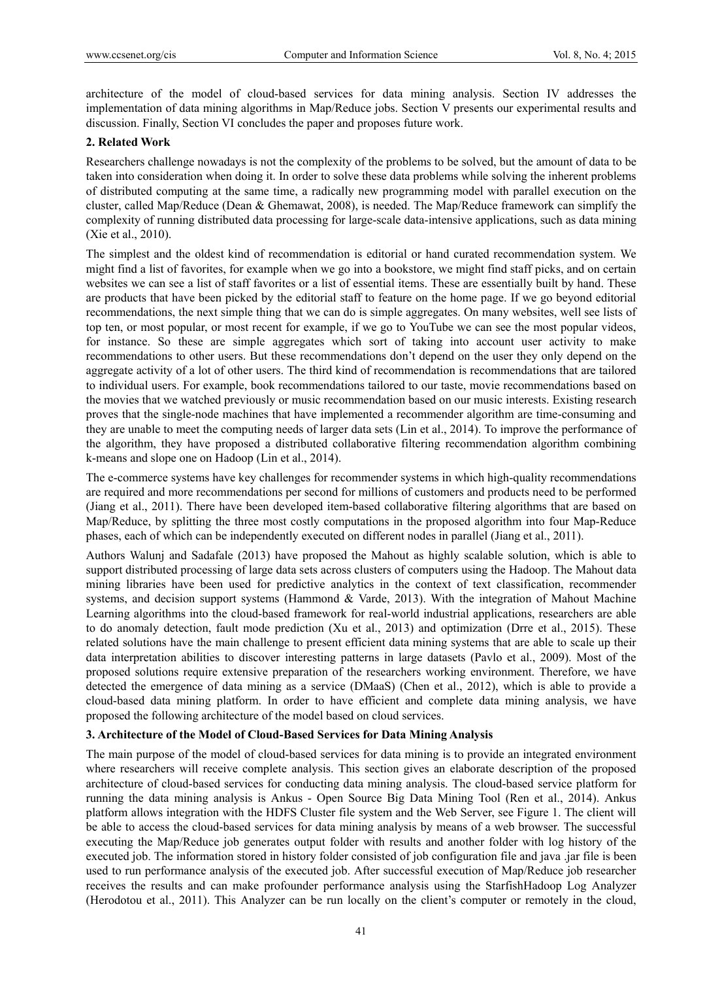architecture of the model of cloud-based services for data mining analysis. Section IV addresses the implementation of data mining algorithms in Map/Reduce jobs. Section V presents our experimental results and discussion. Finally, Section VI concludes the paper and proposes future work.

## **2. Related Work**

Researchers challenge nowadays is not the complexity of the problems to be solved, but the amount of data to be taken into consideration when doing it. In order to solve these data problems while solving the inherent problems of distributed computing at the same time, a radically new programming model with parallel execution on the cluster, called Map/Reduce (Dean & Ghemawat, 2008), is needed. The Map/Reduce framework can simplify the complexity of running distributed data processing for large-scale data-intensive applications, such as data mining (Xie et al., 2010).

The simplest and the oldest kind of recommendation is editorial or hand curated recommendation system. We might find a list of favorites, for example when we go into a bookstore, we might find staff picks, and on certain websites we can see a list of staff favorites or a list of essential items. These are essentially built by hand. These are products that have been picked by the editorial staff to feature on the home page. If we go beyond editorial recommendations, the next simple thing that we can do is simple aggregates. On many websites, well see lists of top ten, or most popular, or most recent for example, if we go to YouTube we can see the most popular videos, for instance. So these are simple aggregates which sort of taking into account user activity to make recommendations to other users. But these recommendations don't depend on the user they only depend on the aggregate activity of a lot of other users. The third kind of recommendation is recommendations that are tailored to individual users. For example, book recommendations tailored to our taste, movie recommendations based on the movies that we watched previously or music recommendation based on our music interests. Existing research proves that the single-node machines that have implemented a recommender algorithm are time-consuming and they are unable to meet the computing needs of larger data sets (Lin et al., 2014). To improve the performance of the algorithm, they have proposed a distributed collaborative filtering recommendation algorithm combining k-means and slope one on Hadoop (Lin et al., 2014).

The e-commerce systems have key challenges for recommender systems in which high-quality recommendations are required and more recommendations per second for millions of customers and products need to be performed (Jiang et al., 2011). There have been developed item-based collaborative filtering algorithms that are based on Map/Reduce, by splitting the three most costly computations in the proposed algorithm into four Map-Reduce phases, each of which can be independently executed on different nodes in parallel (Jiang et al., 2011).

Authors Walunj and Sadafale (2013) have proposed the Mahout as highly scalable solution, which is able to support distributed processing of large data sets across clusters of computers using the Hadoop. The Mahout data mining libraries have been used for predictive analytics in the context of text classification, recommender systems, and decision support systems (Hammond & Varde, 2013). With the integration of Mahout Machine Learning algorithms into the cloud-based framework for real-world industrial applications, researchers are able to do anomaly detection, fault mode prediction (Xu et al., 2013) and optimization (Drre et al., 2015). These related solutions have the main challenge to present efficient data mining systems that are able to scale up their data interpretation abilities to discover interesting patterns in large datasets (Pavlo et al., 2009). Most of the proposed solutions require extensive preparation of the researchers working environment. Therefore, we have detected the emergence of data mining as a service (DMaaS) (Chen et al., 2012), which is able to provide a cloud-based data mining platform. In order to have efficient and complete data mining analysis, we have proposed the following architecture of the model based on cloud services.

## **3. Architecture of the Model of Cloud-Based Services for Data Mining Analysis**

The main purpose of the model of cloud-based services for data mining is to provide an integrated environment where researchers will receive complete analysis. This section gives an elaborate description of the proposed architecture of cloud-based services for conducting data mining analysis. The cloud-based service platform for running the data mining analysis is Ankus - Open Source Big Data Mining Tool (Ren et al., 2014). Ankus platform allows integration with the HDFS Cluster file system and the Web Server, see Figure 1. The client will be able to access the cloud-based services for data mining analysis by means of a web browser. The successful executing the Map/Reduce job generates output folder with results and another folder with log history of the executed job. The information stored in history folder consisted of job configuration file and java .jar file is been used to run performance analysis of the executed job. After successful execution of Map/Reduce job researcher receives the results and can make profounder performance analysis using the StarfishHadoop Log Analyzer (Herodotou et al., 2011). This Analyzer can be run locally on the client's computer or remotely in the cloud,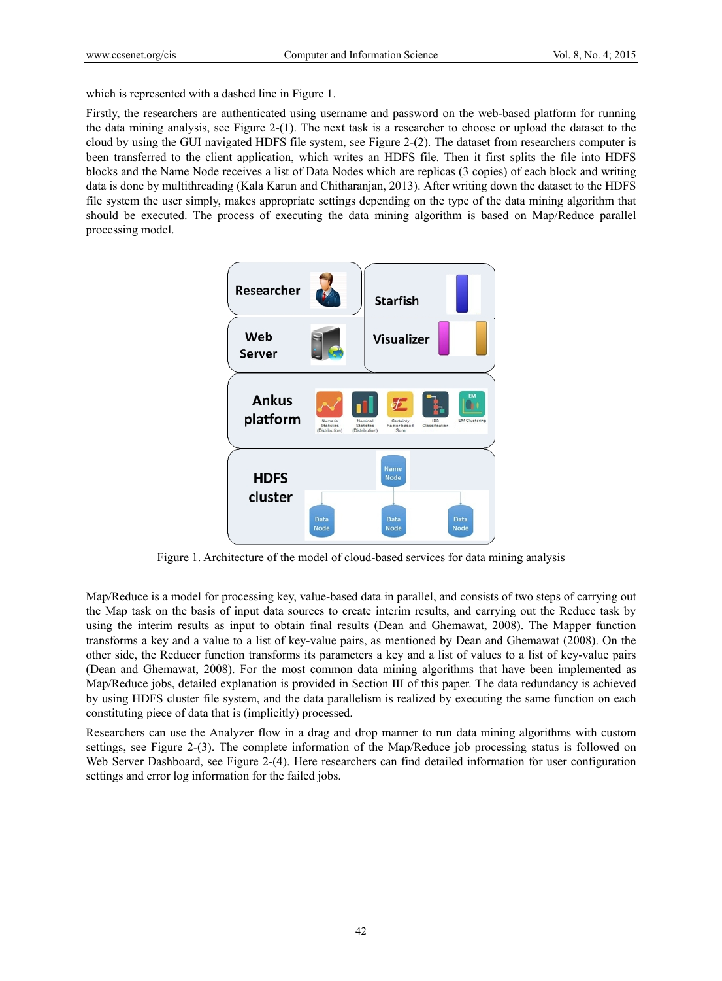which is represented with a dashed line in Figure 1.

Firstly, the researchers are authenticated using username and password on the web-based platform for running the data mining analysis, see Figure 2-(1). The next task is a researcher to choose or upload the dataset to the cloud by using the GUI navigated HDFS file system, see Figure 2-(2). The dataset from researchers computer is been transferred to the client application, which writes an HDFS file. Then it first splits the file into HDFS blocks and the Name Node receives a list of Data Nodes which are replicas (3 copies) of each block and writing data is done by multithreading (Kala Karun and Chitharanjan, 2013). After writing down the dataset to the HDFS file system the user simply, makes appropriate settings depending on the type of the data mining algorithm that should be executed. The process of executing the data mining algorithm is based on Map/Reduce parallel processing model.



Figure 1. Architecture of the model of cloud-based services for data mining analysis

Map/Reduce is a model for processing key, value-based data in parallel, and consists of two steps of carrying out the Map task on the basis of input data sources to create interim results, and carrying out the Reduce task by using the interim results as input to obtain final results (Dean and Ghemawat, 2008). The Mapper function transforms a key and a value to a list of key-value pairs, as mentioned by Dean and Ghemawat (2008). On the other side, the Reducer function transforms its parameters a key and a list of values to a list of key-value pairs (Dean and Ghemawat, 2008). For the most common data mining algorithms that have been implemented as Map/Reduce jobs, detailed explanation is provided in Section III of this paper. The data redundancy is achieved by using HDFS cluster file system, and the data parallelism is realized by executing the same function on each constituting piece of data that is (implicitly) processed.

Researchers can use the Analyzer flow in a drag and drop manner to run data mining algorithms with custom settings, see Figure 2-(3). The complete information of the Map/Reduce job processing status is followed on Web Server Dashboard, see Figure 2-(4). Here researchers can find detailed information for user configuration settings and error log information for the failed jobs.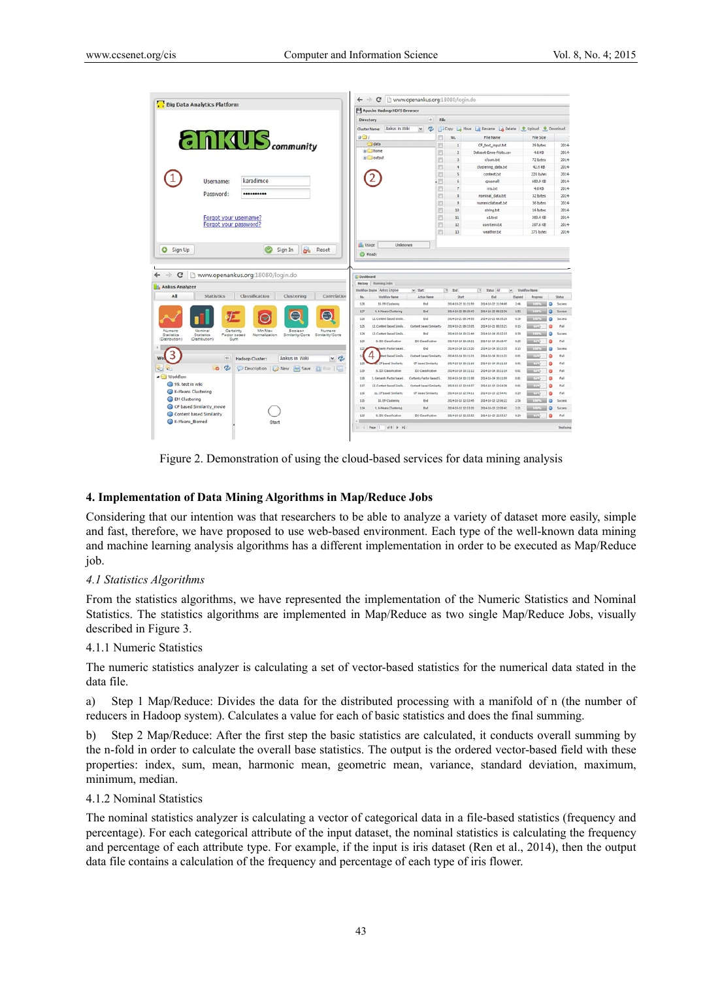

Figure 2. Demonstration of using the cloud-based services for data mining analysis

## **4. Implementation of Data Mining Algorithms in Map/Reduce Jobs**

Considering that our intention was that researchers to be able to analyze a variety of dataset more easily, simple and fast, therefore, we have proposed to use web-based environment. Each type of the well-known data mining and machine learning analysis algorithms has a different implementation in order to be executed as Map/Reduce job.

## *4.1 Statistics Algorithms*

From the statistics algorithms, we have represented the implementation of the Numeric Statistics and Nominal Statistics. The statistics algorithms are implemented in Map/Reduce as two single Map/Reduce Jobs, visually described in Figure 3.

## 4.1.1 Numeric Statistics

The numeric statistics analyzer is calculating a set of vector-based statistics for the numerical data stated in the data file.

a) Step 1 Map/Reduce: Divides the data for the distributed processing with a manifold of n (the number of reducers in Hadoop system). Calculates a value for each of basic statistics and does the final summing.

b) Step 2 Map/Reduce: After the first step the basic statistics are calculated, it conducts overall summing by the n-fold in order to calculate the overall base statistics. The output is the ordered vector-based field with these properties: index, sum, mean, harmonic mean, geometric mean, variance, standard deviation, maximum, minimum, median.

#### 4.1.2 Nominal Statistics

The nominal statistics analyzer is calculating a vector of categorical data in a file-based statistics (frequency and percentage). For each categorical attribute of the input dataset, the nominal statistics is calculating the frequency and percentage of each attribute type. For example, if the input is iris dataset (Ren et al., 2014), then the output data file contains a calculation of the frequency and percentage of each type of iris flower.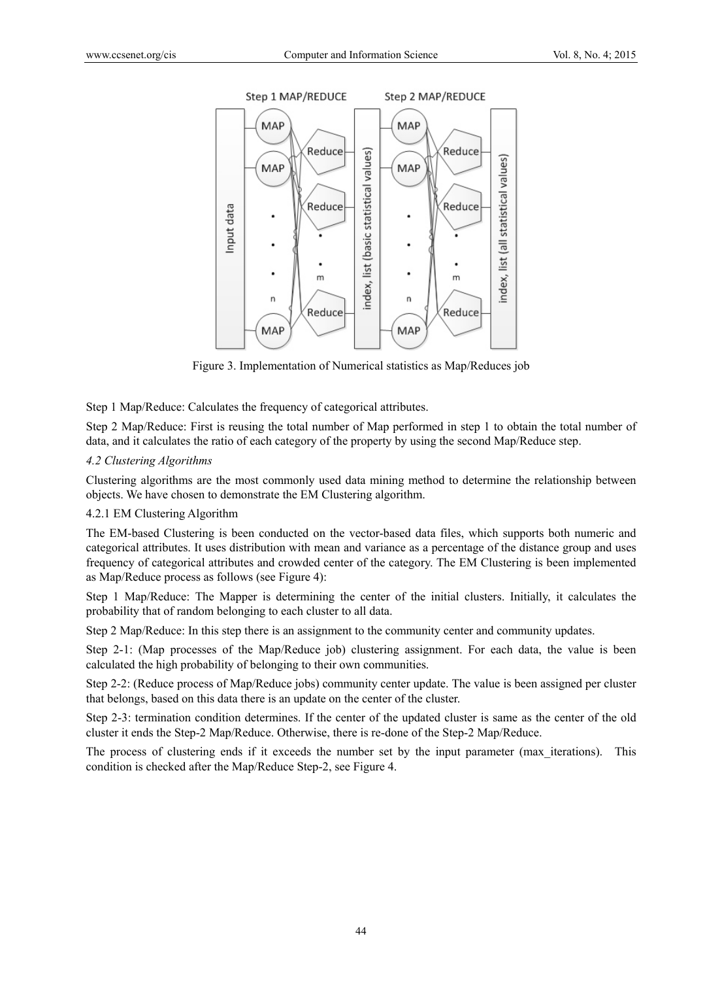

Figure 3. Implementation of Numerical statistics as Map/Reduces job

Step 1 Map/Reduce: Calculates the frequency of categorical attributes.

Step 2 Map/Reduce: First is reusing the total number of Map performed in step 1 to obtain the total number of data, and it calculates the ratio of each category of the property by using the second Map/Reduce step.

## *4.2 Clustering Algorithms*

Clustering algorithms are the most commonly used data mining method to determine the relationship between objects. We have chosen to demonstrate the EM Clustering algorithm.

## 4.2.1 EM Clustering Algorithm

The EM-based Clustering is been conducted on the vector-based data files, which supports both numeric and categorical attributes. It uses distribution with mean and variance as a percentage of the distance group and uses frequency of categorical attributes and crowded center of the category. The EM Clustering is been implemented as Map/Reduce process as follows (see Figure 4):

Step 1 Map/Reduce: The Mapper is determining the center of the initial clusters. Initially, it calculates the probability that of random belonging to each cluster to all data.

Step 2 Map/Reduce: In this step there is an assignment to the community center and community updates.

Step 2-1: (Map processes of the Map/Reduce job) clustering assignment. For each data, the value is been calculated the high probability of belonging to their own communities.

Step 2-2: (Reduce process of Map/Reduce jobs) community center update. The value is been assigned per cluster that belongs, based on this data there is an update on the center of the cluster.

Step 2-3: termination condition determines. If the center of the updated cluster is same as the center of the old cluster it ends the Step-2 Map/Reduce. Otherwise, there is re-done of the Step-2 Map/Reduce.

The process of clustering ends if it exceeds the number set by the input parameter (max iterations). This condition is checked after the Map/Reduce Step-2, see Figure 4.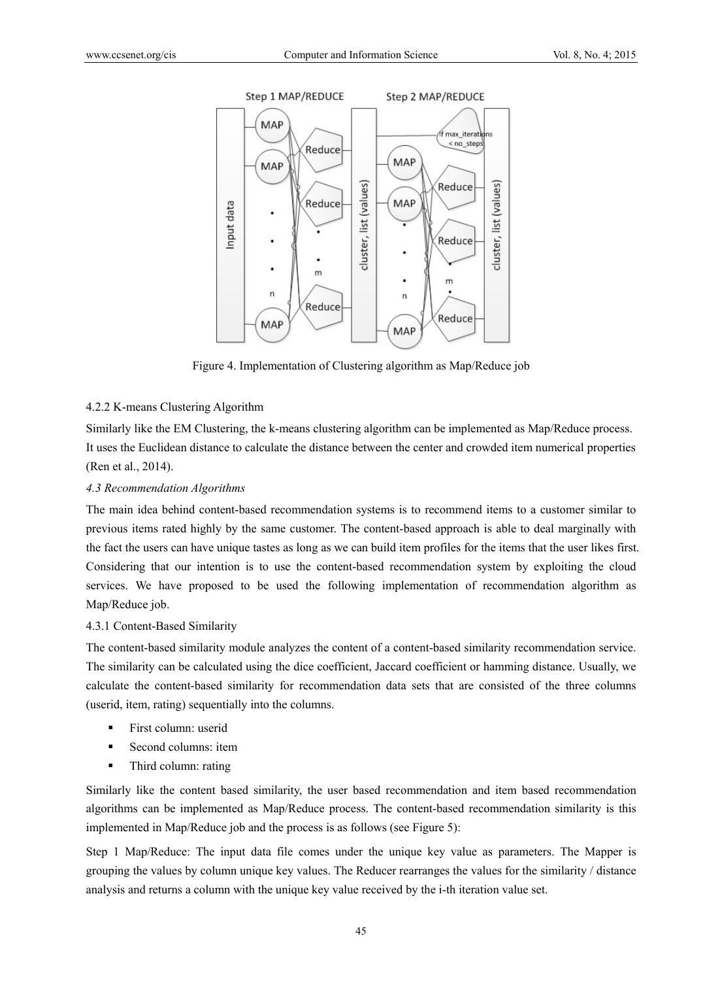

Figure 4. Implementation of Clustering algorithm as Map/Reduce job

# 4.2.2 K-means Clustering Algorithm

Similarly like the EM Clustering, the k-means clustering algorithm can be implemented as Map/Reduce process. It uses the Euclidean distance to calculate the distance between the center and crowded item numerical properties (Ren et al., 2014).

# *4.3 Recommendation Algorithms*

The main idea behind content-based recommendation systems is to recommend items to a customer similar to previous items rated highly by the same customer. The content-based approach is able to deal marginally with the fact the users can have unique tastes as long as we can build item profiles for the items that the user likes first. Considering that our intention is to use the content-based recommendation system by exploiting the cloud services. We have proposed to be used the following implementation of recommendation algorithm as Map/Reduce job.

# 4.3.1 Content-Based Similarity

The content-based similarity module analyzes the content of a content-based similarity recommendation service. The similarity can be calculated using the dice coefficient, Jaccard coefficient or hamming distance. Usually, we calculate the content-based similarity for recommendation data sets that are consisted of the three columns (userid, item, rating) sequentially into the columns.

- **First column: userid**
- Second columns: item
- Third column: rating

Similarly like the content based similarity, the user based recommendation and item based recommendation algorithms can be implemented as Map/Reduce process. The content-based recommendation similarity is this implemented in Map/Reduce job and the process is as follows (see Figure 5):

Step 1 Map/Reduce: The input data file comes under the unique key value as parameters. The Mapper is grouping the values by column unique key values. The Reducer rearranges the values for the similarity / distance analysis and returns a column with the unique key value received by the i-th iteration value set.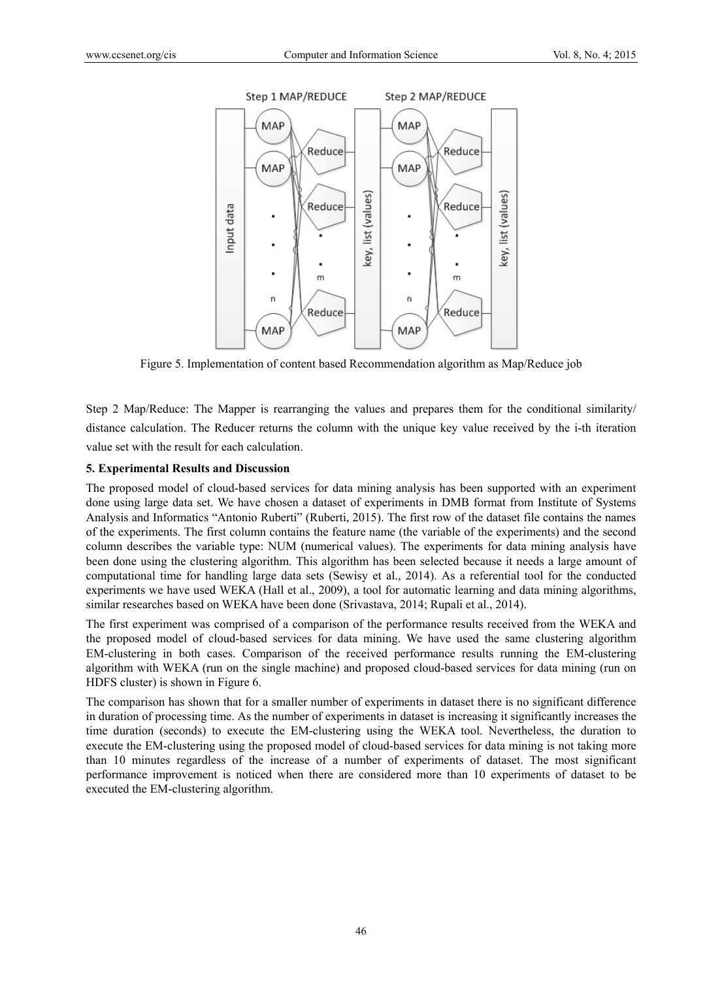

Figure 5. Implementation of content based Recommendation algorithm as Map/Reduce job

Step 2 Map/Reduce: The Mapper is rearranging the values and prepares them for the conditional similarity/ distance calculation. The Reducer returns the column with the unique key value received by the i-th iteration value set with the result for each calculation.

#### **5. Experimental Results and Discussion**

The proposed model of cloud-based services for data mining analysis has been supported with an experiment done using large data set. We have chosen a dataset of experiments in DMB format from Institute of Systems Analysis and Informatics "Antonio Ruberti" (Ruberti, 2015). The first row of the dataset file contains the names of the experiments. The first column contains the feature name (the variable of the experiments) and the second column describes the variable type: NUM (numerical values). The experiments for data mining analysis have been done using the clustering algorithm. This algorithm has been selected because it needs a large amount of computational time for handling large data sets (Sewisy et al., 2014). As a referential tool for the conducted experiments we have used WEKA (Hall et al., 2009), a tool for automatic learning and data mining algorithms, similar researches based on WEKA have been done (Srivastava, 2014; Rupali et al., 2014).

The first experiment was comprised of a comparison of the performance results received from the WEKA and the proposed model of cloud-based services for data mining. We have used the same clustering algorithm EM-clustering in both cases. Comparison of the received performance results running the EM-clustering algorithm with WEKA (run on the single machine) and proposed cloud-based services for data mining (run on HDFS cluster) is shown in Figure 6.

The comparison has shown that for a smaller number of experiments in dataset there is no significant difference in duration of processing time. As the number of experiments in dataset is increasing it significantly increases the time duration (seconds) to execute the EM-clustering using the WEKA tool. Nevertheless, the duration to execute the EM-clustering using the proposed model of cloud-based services for data mining is not taking more than 10 minutes regardless of the increase of a number of experiments of dataset. The most significant performance improvement is noticed when there are considered more than 10 experiments of dataset to be executed the EM-clustering algorithm.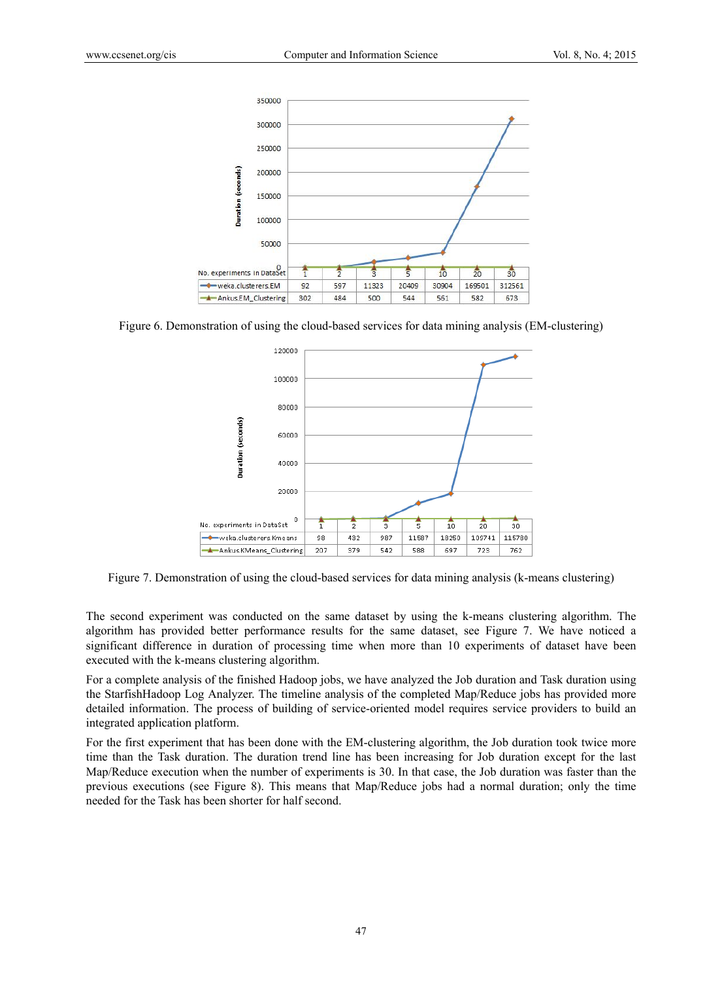

Figure 6. Demonstration of using the cloud-based services for data mining analysis (EM-clustering)



Figure 7. Demonstration of using the cloud-based services for data mining analysis (k-means clustering)

The second experiment was conducted on the same dataset by using the k-means clustering algorithm. The algorithm has provided better performance results for the same dataset, see Figure 7. We have noticed a significant difference in duration of processing time when more than 10 experiments of dataset have been executed with the k-means clustering algorithm.

For a complete analysis of the finished Hadoop jobs, we have analyzed the Job duration and Task duration using the StarfishHadoop Log Analyzer. The timeline analysis of the completed Map/Reduce jobs has provided more detailed information. The process of building of service-oriented model requires service providers to build an integrated application platform.

For the first experiment that has been done with the EM-clustering algorithm, the Job duration took twice more time than the Task duration. The duration trend line has been increasing for Job duration except for the last Map/Reduce execution when the number of experiments is 30. In that case, the Job duration was faster than the previous executions (see Figure 8). This means that Map/Reduce jobs had a normal duration; only the time needed for the Task has been shorter for half second.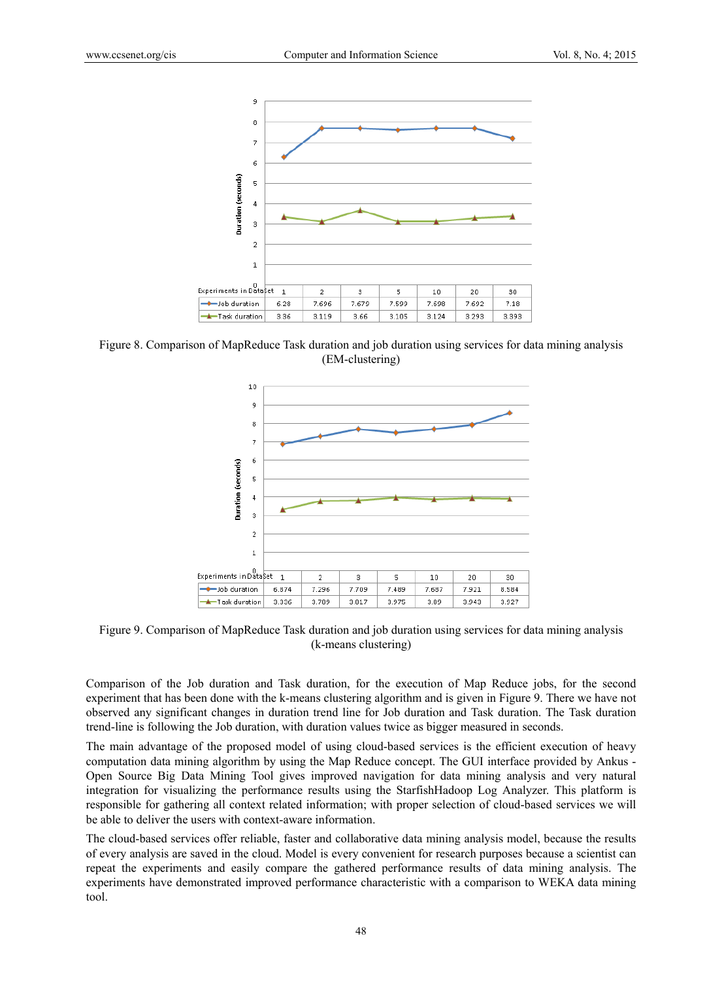

Figure 8. Comparison of MapReduce Task duration and job duration using services for data mining analysis (EM-clustering)



Figure 9. Comparison of MapReduce Task duration and job duration using services for data mining analysis (k-means clustering)

Comparison of the Job duration and Task duration, for the execution of Map Reduce jobs, for the second experiment that has been done with the k-means clustering algorithm and is given in Figure 9. There we have not observed any significant changes in duration trend line for Job duration and Task duration. The Task duration trend-line is following the Job duration, with duration values twice as bigger measured in seconds.

The main advantage of the proposed model of using cloud-based services is the efficient execution of heavy computation data mining algorithm by using the Map Reduce concept. The GUI interface provided by Ankus - Open Source Big Data Mining Tool gives improved navigation for data mining analysis and very natural integration for visualizing the performance results using the StarfishHadoop Log Analyzer. This platform is responsible for gathering all context related information; with proper selection of cloud-based services we will be able to deliver the users with context-aware information.

The cloud-based services offer reliable, faster and collaborative data mining analysis model, because the results of every analysis are saved in the cloud. Model is every convenient for research purposes because a scientist can repeat the experiments and easily compare the gathered performance results of data mining analysis. The experiments have demonstrated improved performance characteristic with a comparison to WEKA data mining tool.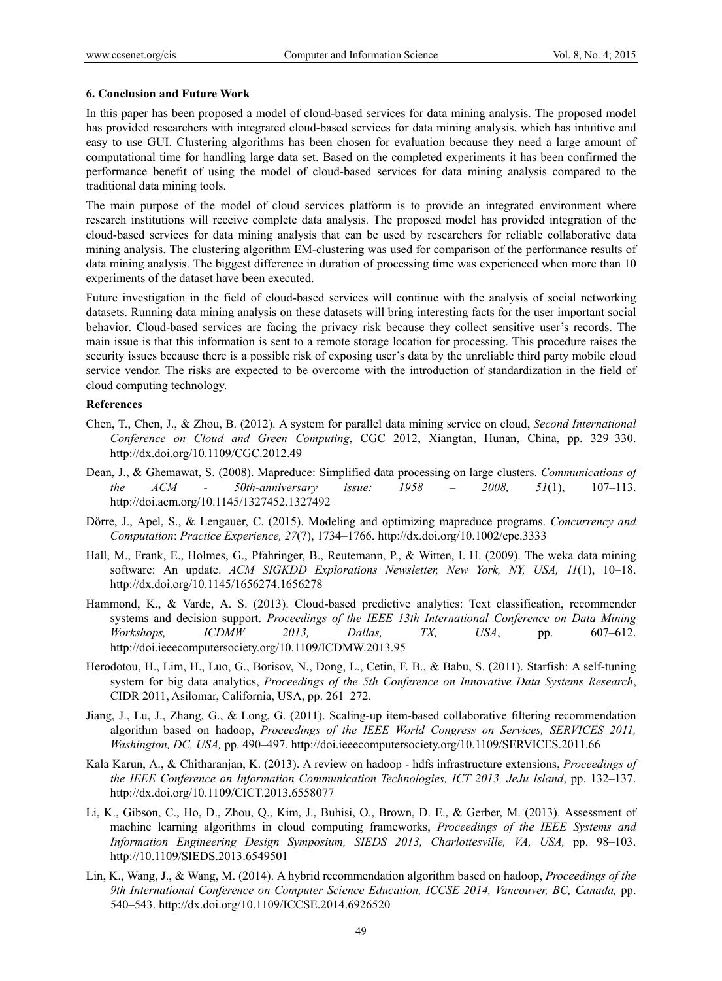#### **6. Conclusion and Future Work**

In this paper has been proposed a model of cloud-based services for data mining analysis. The proposed model has provided researchers with integrated cloud-based services for data mining analysis, which has intuitive and easy to use GUI. Clustering algorithms has been chosen for evaluation because they need a large amount of computational time for handling large data set. Based on the completed experiments it has been confirmed the performance benefit of using the model of cloud-based services for data mining analysis compared to the traditional data mining tools.

The main purpose of the model of cloud services platform is to provide an integrated environment where research institutions will receive complete data analysis. The proposed model has provided integration of the cloud-based services for data mining analysis that can be used by researchers for reliable collaborative data mining analysis. The clustering algorithm EM-clustering was used for comparison of the performance results of data mining analysis. The biggest difference in duration of processing time was experienced when more than 10 experiments of the dataset have been executed.

Future investigation in the field of cloud-based services will continue with the analysis of social networking datasets. Running data mining analysis on these datasets will bring interesting facts for the user important social behavior. Cloud-based services are facing the privacy risk because they collect sensitive user's records. The main issue is that this information is sent to a remote storage location for processing. This procedure raises the security issues because there is a possible risk of exposing user's data by the unreliable third party mobile cloud service vendor. The risks are expected to be overcome with the introduction of standardization in the field of cloud computing technology.

#### **References**

- Chen, T., Chen, J., & Zhou, B. (2012). A system for parallel data mining service on cloud, *Second International Conference on Cloud and Green Computing*, CGC 2012, Xiangtan, Hunan, China, pp. 329–330. http://dx.doi.org/10.1109/CGC.2012.49
- Dean, J., & Ghemawat, S. (2008). Mapreduce: Simplified data processing on large clusters. *Communications of the ACM - 50th-anniversary issue: 1958 – 2008, 51*(1), 107–113. http://doi.acm.org/10.1145/1327452.1327492
- Dörre, J., Apel, S., & Lengauer, C. (2015). Modeling and optimizing mapreduce programs. *Concurrency and Computation*: *Practice Experience, 27*(7), 1734–1766. http://dx.doi.org/10.1002/cpe.3333
- Hall, M., Frank, E., Holmes, G., Pfahringer, B., Reutemann, P., & Witten, I. H. (2009). The weka data mining software: An update. *ACM SIGKDD Explorations Newsletter, New York, NY, USA, 11*(1), 10–18. http://dx.doi.org/10.1145/1656274.1656278
- Hammond, K., & Varde, A. S. (2013). Cloud-based predictive analytics: Text classification, recommender systems and decision support. *Proceedings of the IEEE 13th International Conference on Data Mining Workshops, ICDMW 2013, Dallas, TX, USA*, pp. 607–612. http://doi.ieeecomputersociety.org/10.1109/ICDMW.2013.95
- Herodotou, H., Lim, H., Luo, G., Borisov, N., Dong, L., Cetin, F. B., & Babu, S. (2011). Starfish: A self-tuning system for big data analytics, *Proceedings of the 5th Conference on Innovative Data Systems Research*, CIDR 2011, Asilomar, California, USA, pp. 261–272.
- Jiang, J., Lu, J., Zhang, G., & Long, G. (2011). Scaling-up item-based collaborative filtering recommendation algorithm based on hadoop, *Proceedings of the IEEE World Congress on Services, SERVICES 2011, Washington, DC, USA,* pp. 490–497. http://doi.ieeecomputersociety.org/10.1109/SERVICES.2011.66
- Kala Karun, A., & Chitharanjan, K. (2013). A review on hadoop hdfs infrastructure extensions, *Proceedings of the IEEE Conference on Information Communication Technologies, ICT 2013, JeJu Island*, pp. 132–137. http://dx.doi.org/10.1109/CICT.2013.6558077
- Li, K., Gibson, C., Ho, D., Zhou, Q., Kim, J., Buhisi, O., Brown, D. E., & Gerber, M. (2013). Assessment of machine learning algorithms in cloud computing frameworks, *Proceedings of the IEEE Systems and Information Engineering Design Symposium, SIEDS 2013, Charlottesville, VA, USA,* pp. 98–103. http://10.1109/SIEDS.2013.6549501
- Lin, K., Wang, J., & Wang, M. (2014). A hybrid recommendation algorithm based on hadoop, *Proceedings of the 9th International Conference on Computer Science Education, ICCSE 2014, Vancouver, BC, Canada,* pp. 540–543. http://dx.doi.org/10.1109/ICCSE.2014.6926520